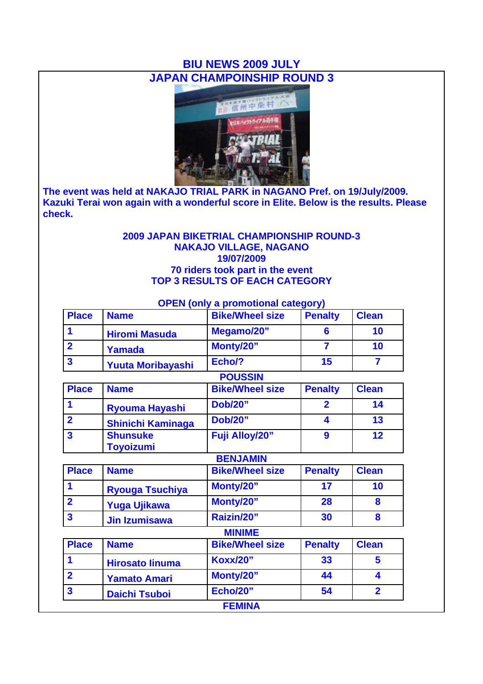# **BIU NEWS 2009 JULY JAPAN CHAMPOINSHIP ROUND 3**



**The event was held at NAKAJO TRIAL PARK in NAGANO Pref. on 19/July/2009. Kazuki Terai won again with a wonderful score in Elite. Below is the results. Please check.**

### **2009 JAPAN BIKETRIAL CHAMPIONSHIP ROUND-3 NAKAJO VILLAGE, NAGANO 19/07/2009 70 riders took part in the event TOP 3 RESULTS OF EACH CATEGORY**

|  |  | <b>OPEN</b> (only a promotional category) |  |
|--|--|-------------------------------------------|--|
|--|--|-------------------------------------------|--|

| <b>Place</b> | <b>Name</b>              | <b>Bike/Wheel size</b> | <b>Penalty</b> | <b>Clean</b> |
|--------------|--------------------------|------------------------|----------------|--------------|
|              | <b>Hiromi Masuda</b>     | Megamo/20"             |                | 10           |
|              | Yamada                   | Monty/20"              |                | 10           |
|              | <b>Yuuta Moribayashi</b> | Echo/?                 | 15             |              |
|              |                          |                        |                |              |

### **POUSSIN**

| <b>Place</b> | <b>Name</b>                         | <b>Bike/Wheel size</b> | <b>Penalty</b> | <b>Clean</b>      |
|--------------|-------------------------------------|------------------------|----------------|-------------------|
|              | <b>Ryouma Hayashi</b>               | <b>Dob/20"</b>         |                | 14                |
|              | <b>Shinichi Kaminaga</b>            | <b>Dob/20"</b>         | 4              | 13                |
|              | <b>Shunsuke</b><br><b>Toyoizumi</b> | <b>Fuji Alloy/20"</b>  | 9              | $12 \ \mathsf{ }$ |

|              |                        | <b>BENJAMIN</b>        |                |              |
|--------------|------------------------|------------------------|----------------|--------------|
| <b>Place</b> | <b>Name</b>            | <b>Bike/Wheel size</b> | <b>Penalty</b> | <b>Clean</b> |
|              | <b>Ryouga Tsuchiya</b> | Monty/20"              | 17             | 10           |
|              | <b>Yuga Ujikawa</b>    | Monty/20"              | 28             |              |
| 3            | <b>Jin Izumisawa</b>   | Raizin/20"             | 30             |              |

# **MINIME**

| <b>Place</b> | <b>Name</b>            | <b>Bike/Wheel size</b> | <b>Penalty</b> | <b>Clean</b> |
|--------------|------------------------|------------------------|----------------|--------------|
|              | <b>Hirosato linuma</b> | <b>Koxx/20"</b>        | 33             |              |
|              | <b>Yamato Amari</b>    | Monty/20"              | 44             |              |
| 3            | <b>Daichi Tsuboi</b>   | <b>Echo/20"</b>        | 54             |              |
|              |                        | <b>FEMINA</b>          |                |              |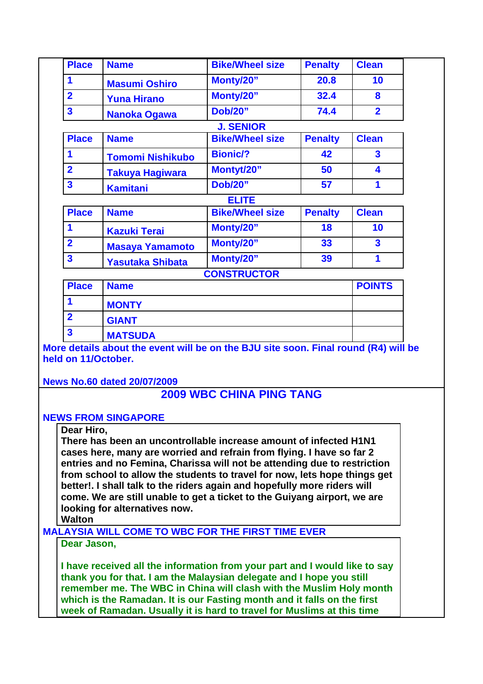| <b>Place</b>            | <b>Name</b>             | <b>Bike/Wheel size</b> | <b>Penalty</b> | <b>Clean</b>            |
|-------------------------|-------------------------|------------------------|----------------|-------------------------|
| 1                       | <b>Masumi Oshiro</b>    | Monty/20"              | 20.8           | 10                      |
| $\overline{2}$          | <b>Yuna Hirano</b>      | Monty/20"              | 32.4           | 8                       |
| $\overline{\mathbf{3}}$ | <b>Nanoka Ogawa</b>     | <b>Dob/20"</b>         | 74.4           | $\overline{2}$          |
|                         |                         | <b>J. SENIOR</b>       |                |                         |
| <b>Place</b>            | <b>Name</b>             | <b>Bike/Wheel size</b> | <b>Penalty</b> | <b>Clean</b>            |
| 1                       | <b>Tomomi Nishikubo</b> | <b>Bionic/?</b>        | 42             | $\overline{\mathbf{3}}$ |
| $\overline{2}$          | <b>Takuya Hagiwara</b>  | Montyt/20"             | 50             | 4                       |
| $\overline{\mathbf{3}}$ | <b>Kamitani</b>         | <b>Dob/20"</b>         | 57             | 1                       |
|                         |                         | <b>ELITE</b>           |                |                         |
| <b>Place</b>            | <b>Name</b>             | <b>Bike/Wheel size</b> | <b>Penalty</b> | <b>Clean</b>            |
| $\mathbf 1$             | <b>Kazuki Terai</b>     | Monty/20"              | 18             | 10                      |
| $\overline{2}$          | <b>Masaya Yamamoto</b>  | Monty/20"              | 33             | $\overline{\mathbf{3}}$ |
| $\overline{\mathbf{3}}$ | <b>Yasutaka Shibata</b> | Monty/20"              | 39             | 1                       |
|                         |                         | <b>CONSTRUCTOR</b>     |                |                         |
| <b>Place</b>            | <b>Name</b>             |                        |                | <b>POINTS</b>           |
| 1                       | <b>MONTY</b>            |                        |                |                         |
| $\overline{2}$          | <b>GIANT</b>            |                        |                |                         |
| $\overline{\mathbf{3}}$ | <b>MATSUDA</b>          |                        |                |                         |

**More details about the event will be on the BJU site soon. Final round (R4) will be held on 11/October.**

**News No.60 dated 20/07/2009**

### **2009 WBC CHINA PING TANG**

### **NEWS FROM SINGAPORE**

#### **Dear Hiro,**

**There has been an uncontrollable increase amount of infected H1N1 cases here, many are worried and refrain from flying. I have so far 2 entries and no Femina, Charissa will not be attending due to restriction from school to allow the students to travel for now, lets hope things get better!. I shall talk to the riders again and hopefully more riders will come. We are still unable to get a ticket to the Guiyang airport, we are looking for alternatives now.** 

**Walton**

**MALAYSIA WILL COME TO WBC FOR THE FIRST TIME EVER**

**Dear Jason,**

**I have received all the information from your part and I would like to say thank you for that. I am the Malaysian delegate and I hope you still remember me. The WBC in China will clash with the Muslim Holy month which is the Ramadan. It is our Fasting month and it falls on the first week of Ramadan. Usually it is hard to travel for Muslims at this time**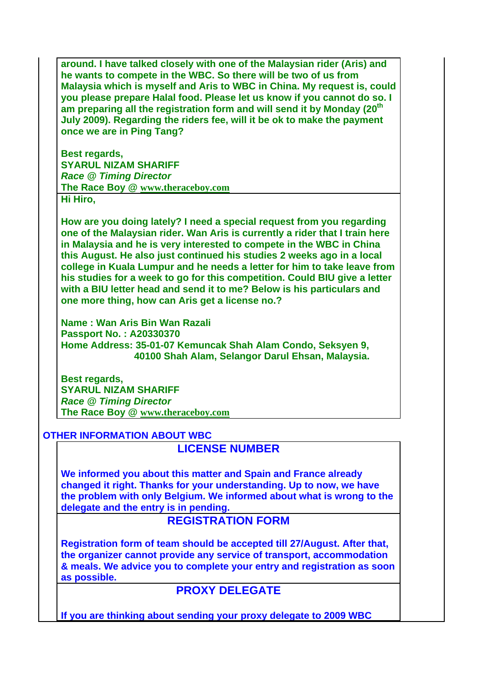**around. I have talked closely with one of the Malaysian rider (Aris) and he wants to compete in the WBC. So there will be two of us from Malaysia which is myself and Aris to WBC in China. My request is, could you please prepare Halal food. Please let us know if you cannot do so. I am preparing all the registration form and will send it by Monday (20th July 2009). Regarding the riders fee, will it be ok to make the payment once we are in Ping Tang?**

**Best regards, SYARUL NIZAM SHARIFF** *Race @ Timing Director* **The Race Boy @ www.theraceboy.com Hi Hiro,**

**How are you doing lately? I need a special request from you regarding one of the Malaysian rider. Wan Aris is currently a rider that I train here in Malaysia and he is very interested to compete in the WBC in China this August. He also just continued his studies 2 weeks ago in a local college in Kuala Lumpur and he needs a letter for him to take leave from his studies for a week to go for this competition. Could BIU give a letter with a BIU letter head and send it to me? Below is his particulars and one more thing, how can Aris get a license no.?**

**Name : Wan Aris Bin Wan Razali Passport No. : A20330370 Home Address: 35-01-07 Kemuncak Shah Alam Condo, Seksyen 9, 40100 Shah Alam, Selangor Darul Ehsan, Malaysia.**

**Best regards, SYARUL NIZAM SHARIFF** *Race @ Timing Director* **The Race Boy @ www.theraceboy.com**

### **OTHER INFORMATION ABOUT WBC**

# **LICENSE NUMBER**

**We informed you about this matter and Spain and France already changed it right. Thanks for your understanding. Up to now, we have the problem with only Belgium. We informed about what is wrong to the delegate and the entry is in pending.** 

# **REGISTRATION FORM**

**Registration form of team should be accepted till 27/August. After that, the organizer cannot provide any service of transport, accommodation & meals. We advice you to complete your entry and registration as soon as possible.**

# **PROXY DELEGATE**

**If you are thinking about sending your proxy delegate to 2009 WBC**